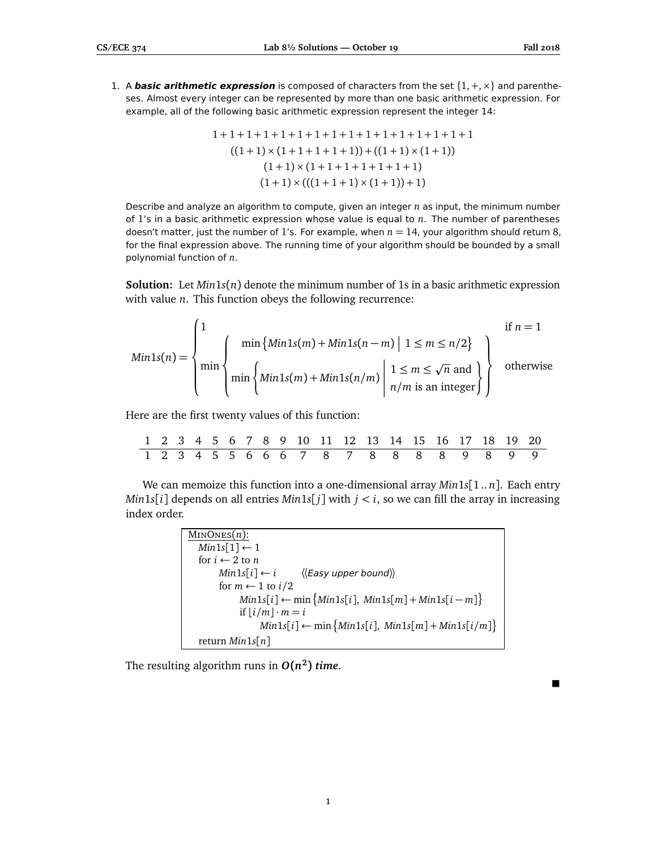$\blacksquare$ 

1. A **basic arithmetic expression** is composed of characters from the set  $\{1, +, \times\}$  and parentheses. Almost every integer can be represented by more than one basic arithmetic expression. For example, all of the following basic arithmetic expression represent the integer 14:

1 + 1 + 1 + 1 + 1 + 1 + 1 + 1 + 1 + 1 + 1 + 1 + 1 + 1 + 1 + 1 ((1 + 1) × (1 + 1 + 1 + 1 + 1)) + ((1 + 1) × (1 + 1)) (1 + 1) × (1 + 1 + 1 + 1 + 1 + 1 + 1) (1 + 1) × (((1 + 1 + 1) × (1 + 1)) + 1)

Describe and analyze an algorithm to compute, given an integer *n* as input, the minimum number of 1's in a basic arithmetic expression whose value is equal to *n*. The number of parentheses doesn't matter, just the number of 1's. For example, when *n* = 14, your algorithm should return 8, for the final expression above. The running time of your algorithm should be bounded by a small polynomial function of *n*.

**Solution:** Let  $Min1s(n)$  denote the minimum number of 1s in a basic arithmetic expression with value *n*. This function obeys the following recurrence:

$$
Min1s(n) = \begin{cases} 1 & \text{if } n = 1 \\ \min \begin{cases} \min\{Min1s(m) + Min1s(n-m) \mid 1 \le m \le n/2\} \\ \min \begin{cases} \min\{Min1s(m) + Min1s(n/m) \mid 1 \le m \le \sqrt{n} \text{ and } \\ n/m \text{ is an integer} \end{cases} \end{cases} \text{otherwise} \end{cases}
$$

Here are the first twenty values of this function:

|  |  |  |  |  |  | 1 2 3 4 5 6 7 8 9 10 11 12 13 14 15 16 17 18 19 20 |  |  |  |
|--|--|--|--|--|--|----------------------------------------------------|--|--|--|
|  |  |  |  |  |  | 1 2 3 4 5 5 6 6 6 7 8 7 8 8 8 8 9 8 9 9            |  |  |  |

We can memoize this function into a one-dimensional array *Min*1*s*[1 .. *n*]. Each entry *Min*1*s*[*i*] depends on all entries *Min*1*s*[*j*] with  $j < i$ , so we can fill the array in increasing index order.

| $MINONES(n)$ :                                                                   |
|----------------------------------------------------------------------------------|
| $Min1s[1] \leftarrow 1$                                                          |
| for $i \leftarrow 2$ to n                                                        |
| $Min1s[i] \leftarrow i \quad \langle \langle Easy\ upper\ bound \rangle \rangle$ |
| for $m \leftarrow 1$ to $i/2$                                                    |
| $Min1s[i] \leftarrow min\{Min1s[i], Min1s[m] + Min1s[i-m]\}$                     |
| if $ i/m  \cdot m = i$                                                           |
| $Min1s[i] \leftarrow min\{Min1s[i], Min1s[m] + Min1s[i/m]\}$                     |
| return $Min1s[n]$                                                                |

The resulting algorithm runs in  $O(n^2)$  *time*.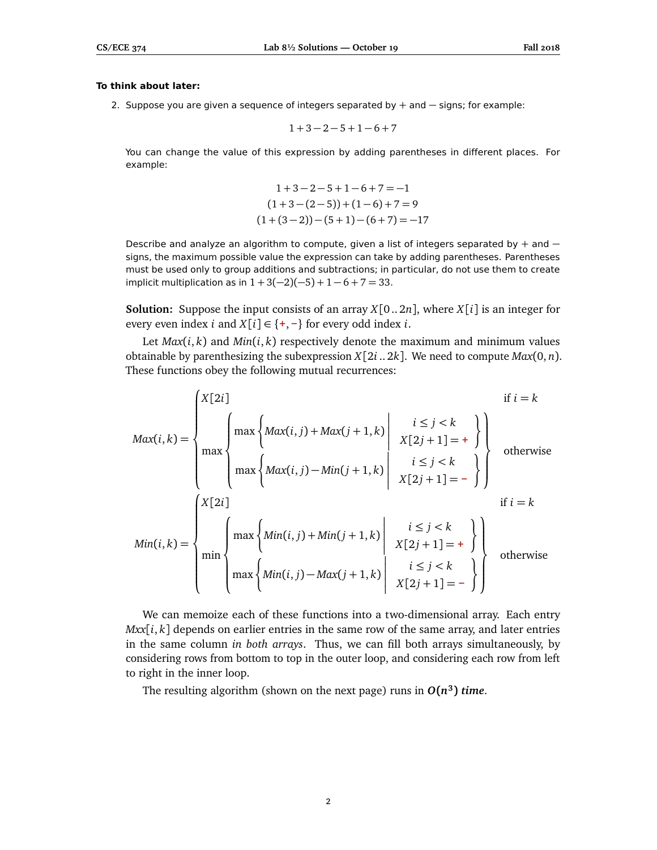## **To think about later:**

2. Suppose you are given a sequence of integers separated by + and – signs; for example:

$$
1+3-2-5+1-6+7\\
$$

You can change the value of this expression by adding parentheses in different places. For example:

$$
1+3-2-5+1-6+7=-1
$$
  
(1+3-(2-5))+ (1-6)+7=9  
(1+(3-2))-(5+1)-(6+7)=-17

Describe and analyze an algorithm to compute, given a list of integers separated by + and − signs, the maximum possible value the expression can take by adding parentheses. Parentheses must be used only to group additions and subtractions; in particular, do not use them to create implicit multiplication as in  $1 + 3(-2)(-5) + 1 - 6 + 7 = 33$ .

**Solution:** Suppose the input consists of an array  $X[0..2n]$ , where  $X[i]$  is an integer for every even index *i* and  $X[i] \in \{+, -\}$  for every odd index *i*.

Let  $Max(i, k)$  and  $Min(i, k)$  respectively denote the maximum and minimum values obtainable by parenthesizing the subexpression  $X[2i..2k]$ . We need to compute  $Max(0, n)$ . These functions obey the following mutual recurrences:

$$
Max(i,k) = \begin{cases} X[2i] & \text{if } i = k \\ \max \begin{cases} \max\left\{ Max(i,j) + Max(j+1,k) \mid & x \leq j < k \\ \max\left\{ Max(i,j) - Min(j+1,k) \mid & z \leq j < k \\ \max\left\{ Max(i,j) - Min(j+1,k) \mid & z \leq j < k \\ \max\left\{ Min(i,j) + Min(j+1,k) \mid & z \leq j < k \\ \min\left\{ max\begin{cases} Min(i,j) + Min(j+1,k) \mid & z \leq j < k \\ \max\left\{ Min(i,j) - Max(j+1,k) \mid & z \leq j < k \\ \max\left\{ Min(i,j) - Max(j+1,k) \mid & z \leq j < k \\ \max\left\{ Min(i,j) - Max(j+1,k) \mid & z \leq j < k \\ \end{cases} \right\} \right\} \text{ otherwise} \end{cases}
$$

We can memoize each of these functions into a two-dimensional array. Each entry *Mxx*[*i*, *k*] depends on earlier entries in the same row of the same array, and later entries in the same column *in both arrays*. Thus, we can fill both arrays simultaneously, by considering rows from bottom to top in the outer loop, and considering each row from left to right in the inner loop.

The resulting algorithm (shown on the next page) runs in  $O(n^3)$  time.